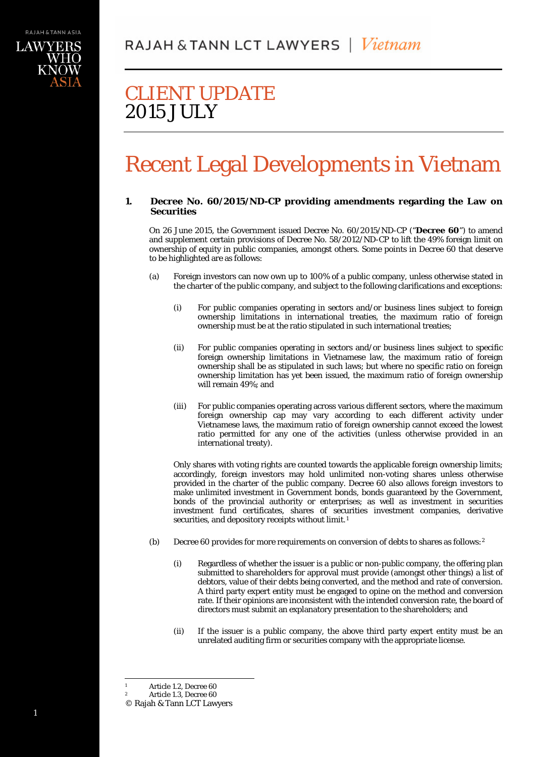

# Recent Legal Developments in Vietnam

## **1. Decree No. 60/2015/ND-CP providing amendments regarding the Law on Securities**

On 26 June 2015, the Government issued Decree No. 60/2015/ND-CP ("**Decree 60**") to amend and supplement certain provisions of Decree No. 58/2012/ND-CP to lift the 49% foreign limit on ownership of equity in public companies, amongst others. Some points in Decree 60 that deserve to be highlighted are as follows:

- (a) Foreign investors can now own up to 100% of a public company, unless otherwise stated in the charter of the public company, and subject to the following clarifications and exceptions:
	- (i) For public companies operating in sectors and/or business lines subject to foreign ownership limitations in international treaties, the maximum ratio of foreign ownership must be at the ratio stipulated in such international treaties;
	- (ii) For public companies operating in sectors and/or business lines subject to specific foreign ownership limitations in Vietnamese law, the maximum ratio of foreign ownership shall be as stipulated in such laws; but where no specific ratio on foreign ownership limitation has yet been issued, the maximum ratio of foreign ownership will remain 49%; and
	- (iii) For public companies operating across various different sectors, where the maximum foreign ownership cap may vary according to each different activity under Vietnamese laws, the maximum ratio of foreign ownership cannot exceed the lowest ratio permitted for any one of the activities (unless otherwise provided in an international treaty).

Only shares with voting rights are counted towards the applicable foreign ownership limits; accordingly, foreign investors may hold unlimited non-voting shares unless otherwise provided in the charter of the public company. Decree 60 also allows foreign investors to make unlimited investment in Government bonds, bonds guaranteed by the Government, bonds of the provincial authority or enterprises; as well as investment in securities investment fund certificates, shares of securities investment companies, derivative securities, and depository receipts without limit.<sup>[1](#page-0-0)</sup>

- (b) Decree 60 provides for more requirements on conversion of debts to shares as follows:[2](#page-0-1)
	- (i) Regardless of whether the issuer is a public or non-public company, the offering plan submitted to shareholders for approval must provide (amongst other things) a list of debtors, value of their debts being converted, and the method and rate of conversion. A third party expert entity must be engaged to opine on the method and conversion rate. If their opinions are inconsistent with the intended conversion rate, the board of directors must submit an explanatory presentation to the shareholders; and
	- (ii) If the issuer is a public company, the above third party expert entity must be an unrelated auditing firm or securities company with the appropriate license.

Article 1.2, Decree 60

Article 1.3, Decree 60

<span id="page-0-1"></span><span id="page-0-0"></span><sup>©</sup> Rajah & Tann LCT Lawyers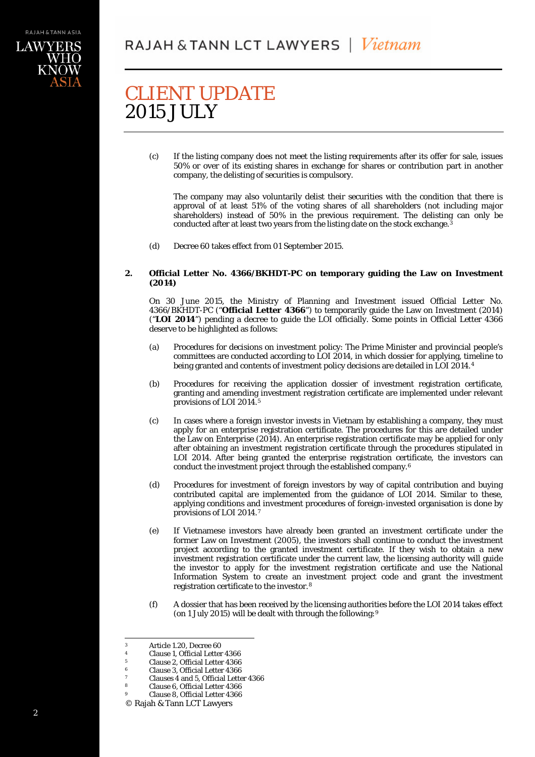(c) If the listing company does not meet the listing requirements after its offer for sale, issues 50% or over of its existing shares in exchange for shares or contribution part in another company, the delisting of securities is compulsory.

The company may also voluntarily delist their securities with the condition that there is approval of at least 51% of the voting shares of all shareholders (not including major shareholders) instead of 50% in the previous requirement. The delisting can only be conducted after at least two years from the listing date on the stock exchange.<sup>[3](#page-1-0)</sup>

(d) Decree 60 takes effect from 01 September 2015.

## **2. Official Letter No. 4366/BKHDT-PC on temporary guiding the Law on Investment (2014)**

On 30 June 2015, the Ministry of Planning and Investment issued Official Letter No. 4366/BKHDT-PC ("**Official Letter 4366**") to temporarily guide the Law on Investment (2014) ("**LOI 2014**") pending a decree to guide the LOI officially. Some points in Official Letter 4366 deserve to be highlighted as follows:

- (a) Procedures for decisions on investment policy: The Prime Minister and provincial people's committees are conducted according to LOI 2014, in which dossier for applying, timeline to being granted and contents of investment policy decisions are detailed in LOI 2014.[4](#page-1-1)
- (b) Procedures for receiving the application dossier of investment registration certificate, granting and amending investment registration certificate are implemented under relevant provisions of LOI 2014.[5](#page-1-2)
- (c) In cases where a foreign investor invests in Vietnam by establishing a company, they must apply for an enterprise registration certificate. The procedures for this are detailed under the Law on Enterprise (2014). An enterprise registration certificate may be applied for only after obtaining an investment registration certificate through the procedures stipulated in LOI 2014. After being granted the enterprise registration certificate, the investors can conduct the investment project through the established company[.6](#page-1-3)
- (d) Procedures for investment of foreign investors by way of capital contribution and buying contributed capital are implemented from the guidance of LOI 2014. Similar to these, applying conditions and investment procedures of foreign-invested organisation is done by provisions of LOI 2014.[7](#page-1-4)
- (e) If Vietnamese investors have already been granted an investment certificate under the former Law on Investment (2005), the investors shall continue to conduct the investment project according to the granted investment certificate. If they wish to obtain a new investment registration certificate under the current law, the licensing authority will guide the investor to apply for the investment registration certificate and use the National Information System to create an investment project code and grant the investment registration certificate to the investor.[8](#page-1-5)
- (f) A dossier that has been received by the licensing authorities before the LOI 2014 takes effect (on 1 July 2015) will be dealt with through the following:[9](#page-1-6)

<span id="page-1-0"></span> $\frac{3}{4}$  Article 1.20, Decree 60

<span id="page-1-2"></span><span id="page-1-1"></span><sup>&</sup>lt;sup>4</sup> Clause 1, Official Letter 4366<br><sup>5</sup> Clause 2, Official Letter 4366

<sup>5</sup> Clause 2, Official Letter 4366

 $^{6}$  Clause 3, Official Letter 4366

<sup>&</sup>lt;sup>7</sup> Clauses 4 and 5, Official Letter 4366<br><sup>8</sup> Clause 6, Official Letter 4366

<sup>8</sup> Clause 6, Official Letter 4366

<span id="page-1-6"></span><span id="page-1-5"></span><span id="page-1-4"></span><span id="page-1-3"></span><sup>9</sup> Clause 8, Official Letter 4366

<sup>©</sup> Rajah & Tann LCT Lawyers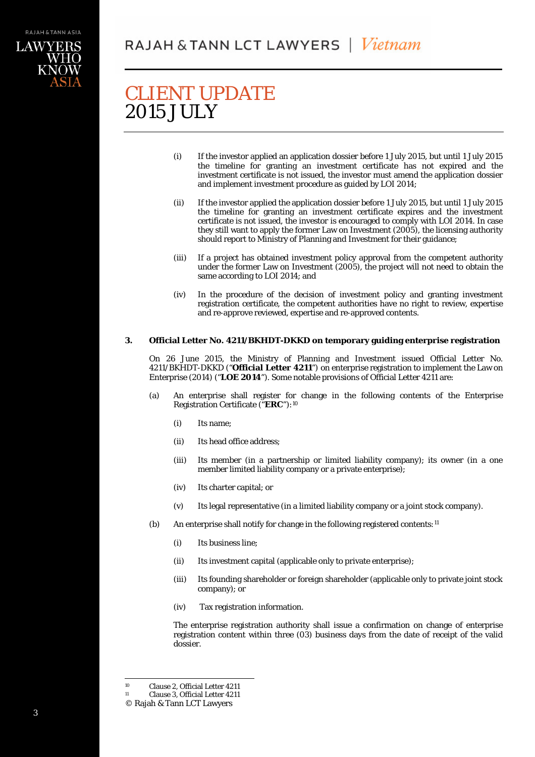- (i) If the investor applied an application dossier before 1 July 2015, but until 1 July 2015 the timeline for granting an investment certificate has not expired and the investment certificate is not issued, the investor must amend the application dossier and implement investment procedure as guided by LOI 2014;
- (ii) If the investor applied the application dossier before 1 July 2015, but until 1 July 2015 the timeline for granting an investment certificate expires and the investment certificate is not issued, the investor is encouraged to comply with LOI 2014. In case they still want to apply the former Law on Investment (2005), the licensing authority should report to Ministry of Planning and Investment for their guidance;
- (iii) If a project has obtained investment policy approval from the competent authority under the former Law on Investment (2005), the project will not need to obtain the same according to LOI 2014; and
- (iv) In the procedure of the decision of investment policy and granting investment registration certificate, the competent authorities have no right to review, expertise and re-approve reviewed, expertise and re-approved contents.

## **3. Official Letter No. 4211/BKHDT-DKKD on temporary guiding enterprise registration**

On 26 June 2015, the Ministry of Planning and Investment issued [Official Letter No.](https://vietnamlawinsight.files.wordpress.com/2015/06/cv-4211_bkhdt-dkkd-_-huong-dan-ap-dung-ve-dkdn.pdf)  [4211/BKHDT-DKKD \("](https://vietnamlawinsight.files.wordpress.com/2015/06/cv-4211_bkhdt-dkkd-_-huong-dan-ap-dung-ve-dkdn.pdf)**Official Letter 4211**") on enterprise registration to implement the Law on Enterprise (2014) ("**LOE 2014**"). Some notable provisions of Official Letter 4211 are:

- (a) An enterprise shall register for change in the following contents of the Enterprise Registration Certificate ("**ERC**"):[10](#page-2-0)
	- (i) Its name;
	- (ii) Its head office address;
	- (iii) Its member (in a partnership or limited liability company); its owner (in a one member limited liability company or a private enterprise);
	- (iv) Its charter capital; or
	- (v) Its legal representative (in a limited liability company or a joint stock company).
- (b) An enterprise shall notify for change in the following registered contents: [11](#page-2-1)
	- (i) Its business line;
	- (ii) Its investment capital (applicable only to private enterprise);
	- (iii) Its founding shareholder or foreign shareholder (applicable only to private joint stock company); or
	- (iv) Tax registration information.

The enterprise registration authority shall issue a confirmation on change of enterprise registration content within three (03) business days from the date of receipt of the valid dossier.

<sup>&</sup>lt;sup>10</sup> Clause 2, Official Letter  $4211$ <br><sup>11</sup> Clause 3 Official Letter  $4211$ 

Clause 3, Official Letter 4211

<span id="page-2-1"></span><span id="page-2-0"></span><sup>©</sup> Rajah & Tann LCT Lawyers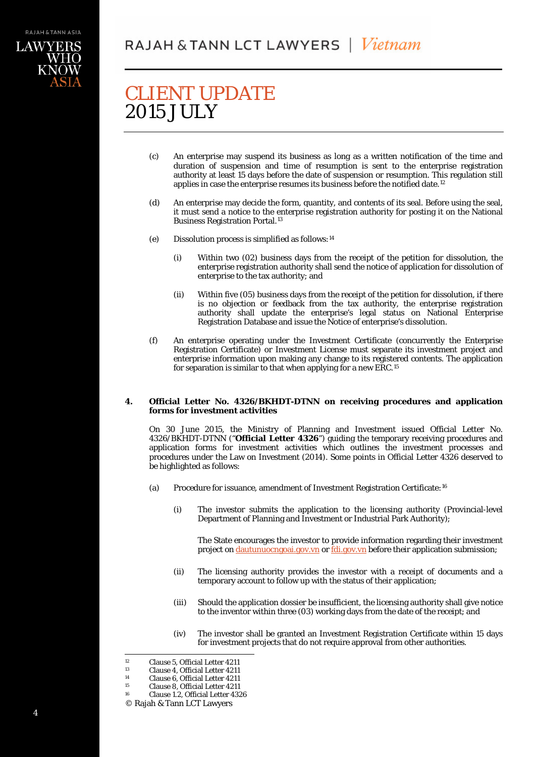- (c) An enterprise may suspend its business as long as a written notification of the time and duration of suspension and time of resumption is sent to the enterprise registration authority at least 15 days before the date of suspension or resumption. This regulation still applies in case the enterprise resumes its business before the notified date.<sup>[12](#page-3-0)</sup>
- (d) An enterprise may decide the form, quantity, and contents of its seal. Before using the seal, it must send a notice to the enterprise registration authority for posting it on the National Business Registration Portal.[13](#page-3-1)
- (e) Dissolution process is simplified as follows:[14](#page-3-2)
	- (i) Within two (02) business days from the receipt of the petition for dissolution, the enterprise registration authority shall send the notice of application for dissolution of enterprise to the tax authority; and
	- (ii) Within five (05) business days from the receipt of the petition for dissolution, if there is no objection or feedback from the tax authority, the enterprise registration authority shall update the enterprise's legal status on National Enterprise Registration Database and issue the Notice of enterprise's dissolution.
- (f) An enterprise operating under the Investment Certificate (concurrently the Enterprise Registration Certificate) or Investment License must separate its investment project and enterprise information upon making any change to its registered contents. The application for separation is similar to that when applying for a new ERC.[15](#page-3-3)

## **4. Official Letter No. 4326/BKHDT-DTNN on receiving procedures and application forms for investment activities**

On 30 June 2015, the Ministry of Planning and Investment issued Official Letter No. 4326/BKHDT-DTNN ("**Official Letter 4326**") guiding the temporary receiving procedures and application forms for investment activities which outlines the investment processes and procedures under the Law on Investment (2014). Some points in Official Letter 4326 deserved to be highlighted as follows:

- (a) Procedure for issuance, amendment of Investment Registration Certificate:[16](#page-3-4)
	- (i) The investor submits the application to the licensing authority (Provincial-level Department of Planning and Investment or Industrial Park Authority);

The State encourages the investor to provide information regarding their investment project on [dautunuocngoai.gov.vn](http://dautunuocngoai.gov.vn/fdi) or [fdi.gov.vn](http://fdi.gov.vn/) before their application submission;

- (ii) The licensing authority provides the investor with a receipt of documents and a temporary account to follow up with the status of their application;
- (iii) Should the application dossier be insufficient, the licensing authority shall give notice to the inventor within three (03) working days from the date of the receipt; and
- (iv) The investor shall be granted an Investment Registration Certificate within 15 days for investment projects that do not require approval from other authorities.

<sup>&</sup>lt;sup>12</sup> Clause 5, Official Letter  $4211$ <br><sup>13</sup> Clause 4, Official Letter  $4211$ 

<sup>&</sup>lt;sup>13</sup> Clause 4, Official Letter  $4211$ <br><sup>14</sup> Clause 6, Official Letter  $4211$ 

<span id="page-3-1"></span><span id="page-3-0"></span><sup>&</sup>lt;sup>14</sup> Clause 6, Official Letter  $4211$ <br><sup>15</sup> Clause 8, Official Letter  $4211$ 

<sup>&</sup>lt;sup>15</sup> Clause 8, Official Letter  $4211$ <br><sup>16</sup> Clause 1.2 Official Letter  $433$ 

<span id="page-3-4"></span><span id="page-3-3"></span><span id="page-3-2"></span>Clause 1.2, Official Letter 4326

<sup>©</sup> Rajah & Tann LCT Lawyers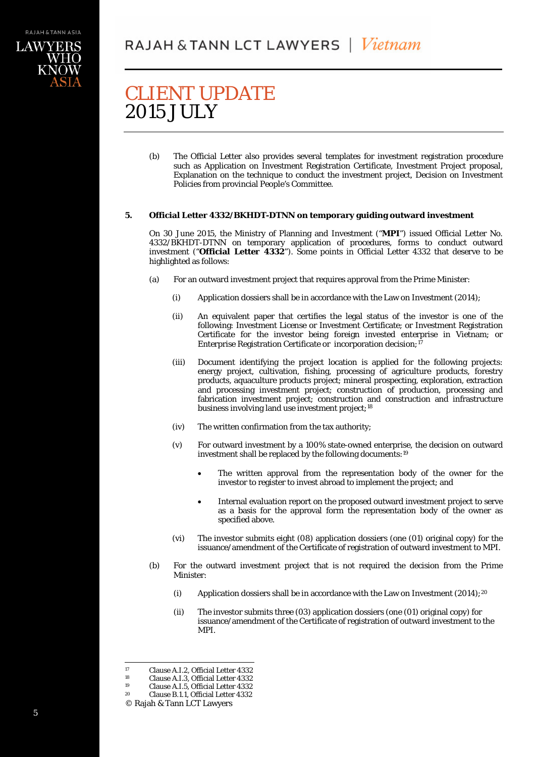(b) The Official Letter also provides several templates for investment registration procedure such as Application on Investment Registration Certificate, Investment Project proposal, Explanation on the technique to conduct the investment project, Decision on Investment Policies from provincial People's Committee.

## **5. Official Letter 4332/BKHDT-DTNN on temporary guiding outward investment**

On 30 June 2015, the Ministry of Planning and Investment ("**MPI**") issued Official Letter No. 4332/BKHDT-DTNN on temporary application of procedures, forms to conduct outward investment ("**Official Letter 4332**"). Some points in Official Letter 4332 that deserve to be highlighted as follows:

- (a) For an outward investment project that requires approval from the Prime Minister:
	- (i) Application dossiers shall be in accordance with the Law on Investment (2014);
	- (ii) An equivalent paper that certifies the legal status of the investor is one of the following: Investment License or Investment Certificate; or Investment Registration Certificate for the investor being foreign invested enterprise in Vietnam; or Enterprise Registration Certificate or incorporation decision;<sup>[17](#page-4-0)</sup>
	- (iii) Document identifying the project location is applied for the following projects: energy project, cultivation, fishing, processing of agriculture products, forestry products, aquaculture products project; mineral prospecting, exploration, extraction and processing investment project; construction of production, processing and fabrication investment project; construction and construction and infrastructure business involving land use investment project;<sup>[18](#page-4-1)</sup>
	- (iv) The written confirmation from the tax authority;
	- (v) For outward investment by a 100% state-owned enterprise, the decision on outward investment shall be replaced by the following documents:[19](#page-4-2)
		- The written approval from the representation body of the owner for the investor to register to invest abroad to implement the project; and
		- Internal evaluation report on the proposed outward investment project to serve as a basis for the approval form the representation body of the owner as specified above.
	- (vi) The investor submits eight (08) application dossiers (one (01) original copy) for the issuance/amendment of the Certificate of registration of outward investment to MPI.
- (b) For the outward investment project that is not required the decision from the Prime Minister:
	- (i) Application dossiers shall be in accordance with the Law on Investment  $(2014)$  $(2014)$  $(2014)$ ;<sup>20</sup>
	- (ii) The investor submits three (03) application dossiers (one (01) original copy) for issuance/amendment of the Certificate of registration of outward investment to the MPI.

<span id="page-4-2"></span><span id="page-4-1"></span><span id="page-4-0"></span><sup>&</sup>lt;sup>17</sup> Clause A.I.2, Official Letter 4332<br>
<sup>18</sup> Clause A.I.3, Official Letter 4332

<sup>&</sup>lt;sup>18</sup> Clause A.I.3, Official Letter 4332<br><sup>19</sup> Clause A I 5, Official Letter 4332

<sup>&</sup>lt;sup>19</sup> Clause A.I.5, Official Letter  $4332$ <br><sup>20</sup> Clause B 1.1 Official Letter  $4332$ 

Clause B.1.1, Official Letter 4332

<span id="page-4-3"></span><sup>©</sup> Rajah & Tann LCT Lawyers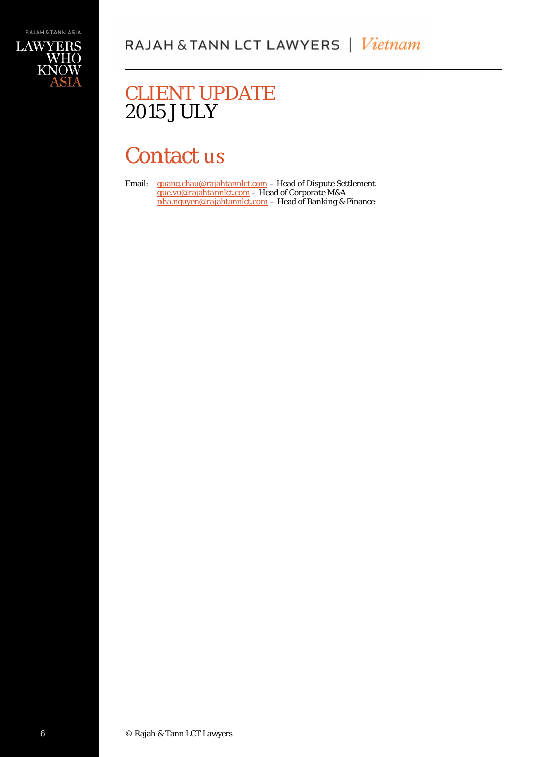# Contact us

Email: [quang.chau@rajahtannlct.com](mailto:quang.chau@rajahtannlct.com) - Head of Dispute Settlement [que.vu@rajahtannlct.com](mailto:que.vu@rajahtannlct.com) – Head of Corporate M&A [nha.nguyen@rajahtannlct.com](mailto:nha.nguyen@rajahtannlct.com) – Head of Banking & Finance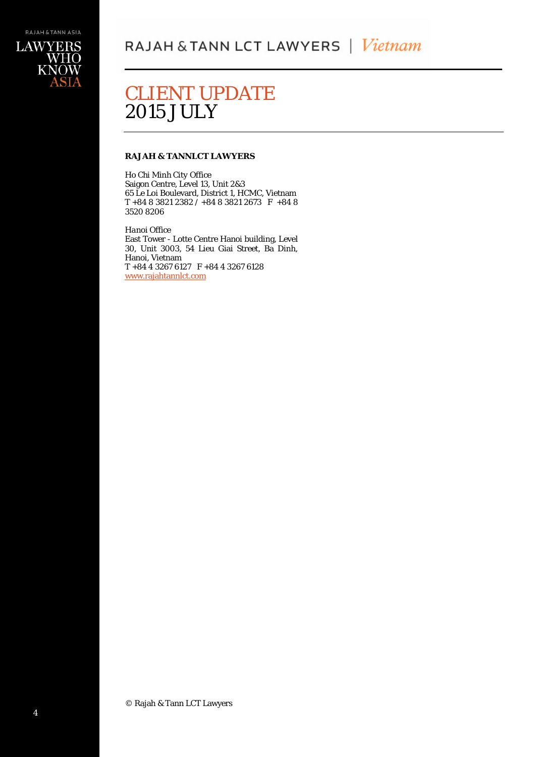

## **RAJAH & TANNLCT LAWYERS**

*Ho Chi Minh City Office* Saigon Centre, Level 13, Unit 2&3 65 Le Loi Boulevard, District 1, HCMC, Vietnam T +84 8 3821 2382 / +84 8 3821 2673 F +84 8 3520 8206

*Hanoi Office* East Tower - Lotte Centre Hanoi building, Level 30, Unit 3003, 54 Lieu Giai Street, Ba Dinh, Hanoi, Vietnam T +84 4 3267 6127 F +84 4 3267 6128 [www.rajahtannlct.com](http://www.rajahtannlct.com/)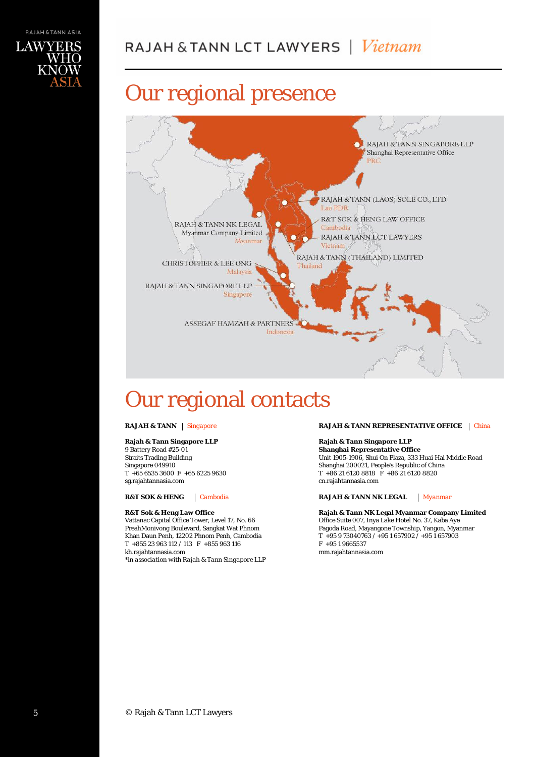

# Our regional presence



# Our regional contacts

## **Rajah & Tann Singapore LLP**

9 Battery Road #25-01 Straits Trading Building Singapore 049910 T +65 6535 3600 F +65 6225 9630 sg.rajahtannasia.com

### **R&T Sok & Heng Law Office**

Vattanac Capital Office Tower, Level 17, No. 66 PreahMonivong Boulevard, Sangkat Wat Phnom Khan Daun Penh, 12202 Phnom Penh, Cambodia T +855 23 963 112 / 113 F +855 963 116 kh.rajahtannasia.com

*\*in association with Rajah & Tann Singapore LLP*

**RAJAH & TANN** *Singapore* **RAJAH & TANN REPRESENTATIVE OFFICE** *China*

## **Rajah & Tann Singapore LLP**

**Shanghai Representative Office** Unit 1905-1906, Shui On Plaza, 333 Huai Hai Middle Road Shanghai 200021, People's Republic of China T +86 21 6120 8818 F +86 21 6120 8820 cn.rajahtannasia.com

**R&T SOK & HENG** *Cambodia* **RAJAH & TANN NK LEGAL** *Myanmar*

**Rajah & Tann NK Legal Myanmar Company Limited** Office Suite 007, Inya Lake Hotel No. 37, Kaba Aye Pagoda Road, Mayangone Township, Yangon, Myanmar T +95 9 73040763 / +95 1 657902 / +95 1 657903 F +95 1 9665537 mm.rajahtannasia.com